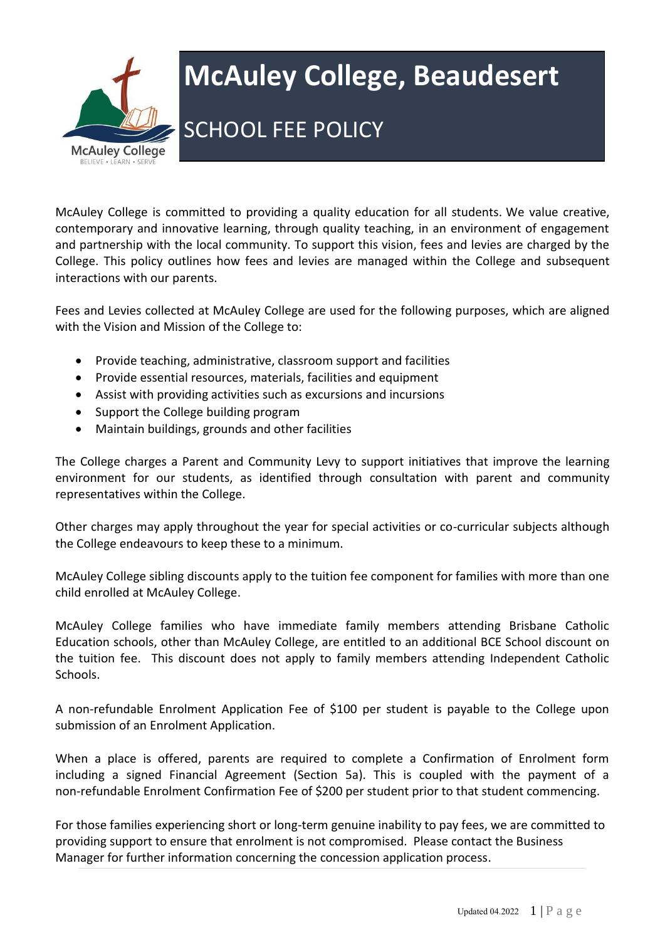

# **McAuley College, Beaudesert**

## SCHOOL FEE POLICY

McAuley College is committed to providing a quality education for all students. We value creative, contemporary and innovative learning, through quality teaching, in an environment of engagement and partnership with the local community. To support this vision, fees and levies are charged by the College. This policy outlines how fees and levies are managed within the College and subsequent interactions with our parents.

Fees and Levies collected at McAuley College are used for the following purposes, which are aligned with the Vision and Mission of the College to:

- Provide teaching, administrative, classroom support and facilities
- Provide essential resources, materials, facilities and equipment
- Assist with providing activities such as excursions and incursions
- Support the College building program
- Maintain buildings, grounds and other facilities

The College charges a Parent and Community Levy to support initiatives that improve the learning environment for our students, as identified through consultation with parent and community representatives within the College.

Other charges may apply throughout the year for special activities or co-curricular subjects although the College endeavours to keep these to a minimum.

McAuley College sibling discounts apply to the tuition fee component for families with more than one child enrolled at McAuley College.

McAuley College families who have immediate family members attending Brisbane Catholic Education schools, other than McAuley College, are entitled to an additional BCE School discount on the tuition fee. This discount does not apply to family members attending Independent Catholic Schools.

A non-refundable Enrolment Application Fee of \$100 per student is payable to the College upon submission of an Enrolment Application.

When a place is offered, parents are required to complete a Confirmation of Enrolment form including a signed Financial Agreement (Section 5a). This is coupled with the payment of a non-refundable Enrolment Confirmation Fee of \$200 per student prior to that student commencing.

For those families experiencing short or long-term genuine inability to pay fees, we are committed to providing support to ensure that enrolment is not compromised. Please contact the Business Manager for further information concerning the concession application process.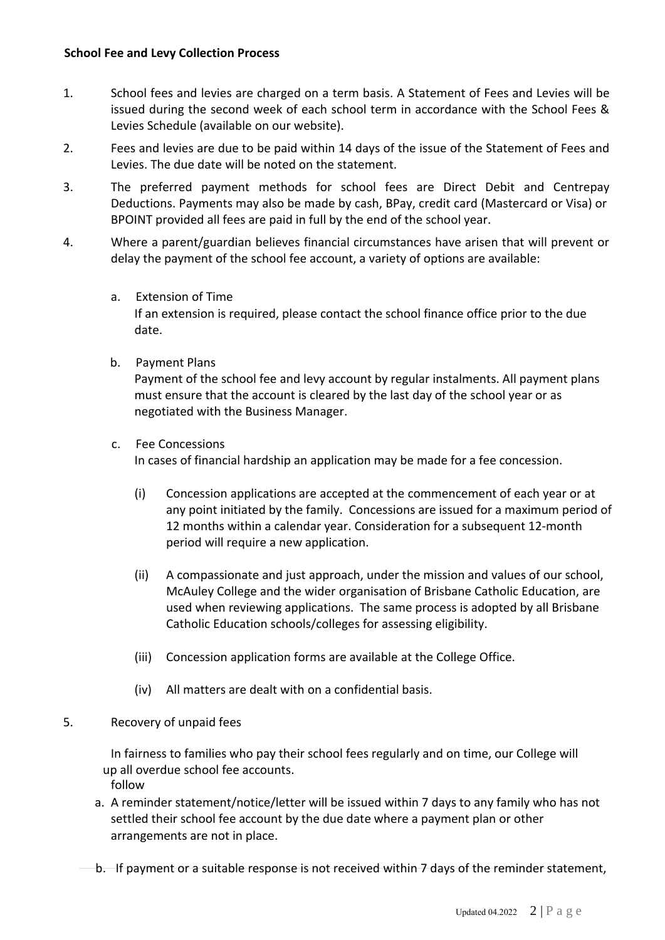- 1. School fees and levies are charged on a term basis. A Statement of Fees and Levies will be issued during the second week of each school term in accordance with the School Fees & Levies Schedule (available on our website).
- 2. Fees and levies are due to be paid within 14 days of the issue of the Statement of Fees and Levies. The due date will be noted on the statement.
- 3. The preferred payment methods for school fees are Direct Debit and Centrepay Deductions. Payments may also be made by cash, BPay, credit card (Mastercard or Visa) or BPOINT provided all fees are paid in full by the end of the school year.
- 4. Where a parent/guardian believes financial circumstances have arisen that will prevent or delay the payment of the school fee account, a variety of options are available:
	- a. Extension of Time If an extension is required, please contact the school finance office prior to the due date.
	- b. Payment Plans

Payment of the school fee and levy account by regular instalments. All payment plans must ensure that the account is cleared by the last day of the school year or as negotiated with the Business Manager.

c. Fee Concessions

In cases of financial hardship an application may be made for a fee concession.

- (i) Concession applications are accepted at the commencement of each year or at any point initiated by the family. Concessions are issued for a maximum period of 12 months within a calendar year. Consideration for a subsequent 12-month period will require a new application.
- (ii) A compassionate and just approach, under the mission and values of our school, McAuley College and the wider organisation of Brisbane Catholic Education, are used when reviewing applications. The same process is adopted by all Brisbane Catholic Education schools/colleges for assessing eligibility.
- (iii) Concession application forms are available at the College Office.
- (iv) All matters are dealt with on a confidential basis.
- 5. Recovery of unpaid fees

In fairness to families who pay their school fees regularly and on time, our College will follow up all overdue school fee accounts.

- a. A reminder statement/notice/letter will be issued within 7 days to any family who has not settled their school fee account by the due date where a payment plan or other arrangements are not in place.
- b. If payment or a suitable response is not received within 7 days of the reminder statement,